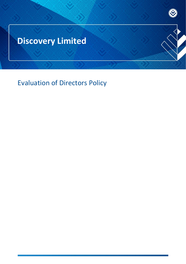# **Discovery Limited**

Evaluation of Directors Policy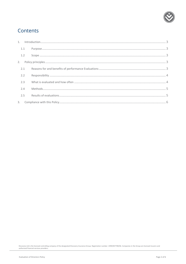

## Contents

| 1.1 |  |
|-----|--|
| 1.2 |  |
|     |  |
| 2.1 |  |
| 2.2 |  |
| 2.3 |  |
| 2.4 |  |
| 2.5 |  |
|     |  |

Discovery Ltd is the licensed controlling company of the designated Discovery Insurance Group. Registration number: 1999/007789/06. Companies in the Group are licensed insurers and<br>authorised financial services providers.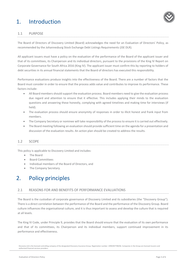# <span id="page-2-0"></span>1. Introduction



### <span id="page-2-1"></span>1.1 PURPOSE

The Board of Directors of Discovery Limited (Board) acknowledges the need for an Evaluation of Directors' Policy, as recommended by the Johannesburg Stock Exchange Debt Listings Requirements (JSE DLR).

All applicant issuers must have a policy on the evaluation of the performance of the Board of the applicant issuer and that of its committees, its Chairperson and its individual directors, pursuant to the provisions of the King IV Report on Corporate Governance for South Africa 2016 (King IV). The applicant issuer must confirm this by reporting to holders of debt securities in its annual financial statements that the Board of directors has executed this responsibility.

Performance evaluations produce insights into the effectiveness of the Board. There are a number of factors that the Board must consider in order to ensure that the process adds value and contributes to improve its performance. These factors include:

- All Board members should support the evaluation process. Board members need to give the evaluation process due regard and attention to ensure that it effective. This includes applying their minds to the evaluation questions and answering these honestly, complying with agreed timelines and making time for interviews (if held).
- The evaluation process should ensure anonymity of responses in order to illicit honest and frank input from members.
- The Company Secretary or nominee will take responsibility of the process to ensure it is carried out effectively.
- The Board meeting following an evaluation should provide sufficient time on the agenda for a presentation and discussion of the evaluation results. An action plan should be created to address the results.

#### <span id="page-2-2"></span>1.2 SCOPE

This policy is applicable to Discovery Limited and includes:

- The Board
- Board Committees
- Individual members of the Board of Directors, and
- The Company Secretary.

## <span id="page-2-3"></span>2. Policy principles

### <span id="page-2-4"></span>2.1 REASONS FOR AND BENEFITS OF PERFORMANCE EVALUATIONS

The Board is the custodian of corporate governance of Discovery Limited and its subsidiaries (the "Discovery Group"). There is a direct correlation between the performance of the Board and the performance of the Discovery Group. Board culture influences the organisational culture, and it is thus important to assess and develop the culture that is required at all levels.

The King IV Code, under Principle 9, provides that the Board should ensure that the evaluation of its own performance and that of its committees, its Chairperson and its individual members, support continued improvement in its performance and effectiveness.

Discovery Ltd is the licensed controlling company of the designated Discovery Insurance Group. Registration number: 1999/007789/06. Companies in the Group are licensed insurers and authorised financial services providers.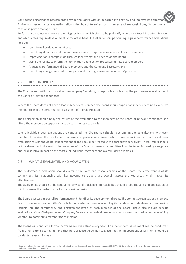Continuous performance assessments provide the Board with an opportunity to review and improve its performa A rigorous performance evaluation allows the Board to reflect on its roles and responsibilities, its culture and relationship with management.

Performance evaluations are a useful diagnostic tool which aims to help identify where the Board is performing well and which areas require development. Some of the benefits that arise from performing regular performance evaluations include:

- Identifying key development areas
- Identifying director development programmes to improve competency of Board members
- Improving Board composition through identifying skills needed on the Board
- Using the results to inform the nomination and election processes of new Board members
- Managing performance of Board members and the Company Secretary, and
- Identifying changes needed to company and Board governance documents/processes.

### <span id="page-3-0"></span>2.2 RESPONSIBILITY

The Chairperson, with the support of the Company Secretary, is responsible for leading the performance evaluation of the Board or relevant committee.

Where the Board does not have a lead independent member, the Board should appoint an independent non-executive member to lead the performance assessment of the Chairperson.

The Chairperson should relay the results of the evaluation to the members of the Board or relevant committee and afford the members an opportunity to discuss the results openly.

Where individual peer evaluations are conducted, the Chairperson should have one-on-one consultations with each member to review the results and manage any performance issues which have been identified. Individual peer evaluation results should be kept confidential and should be treated with appropriate sensitivity. These results should not be shared with the rest of the members of the Board or relevant committee in order to avoid causing a negative and/or disruptive impact on the morale of individual members and overall Board dynamics.

### <span id="page-3-1"></span>2.3 WHAT IS EVALUATED AND HOW OFTEN

The performance evaluation should examine the roles and responsibilities of the Board, the effectiveness of its committees, its relationship with key governance players and overall, assess the key areas which impact its effectiveness.

The assessment should not be conducted by way of a tick box approach, but should probe thought and application of mind to assess the performance for the previous period.

The Board assesses its overall performance and identifies its developmental areas. The committee evaluations allow the Board to evaluate the committee's contribution and effectiveness in fulfilling its mandate. Individual evaluations provide insights into the competency and engagement levels of each member of the Board. These also include specific evaluations of the Chairperson and Company Secretary. Individual peer evaluations should be used when determining whether to nominate a member for re-election

The Board will conduct a formal performance evaluation every year. An independent assessment will be conducted from time to time bearing in mind that best practice guidelines suggests that an independent assessment should be conducted every third year.

Discovery Ltd is the licensed controlling company of the designated Discovery Insurance Group. Registration number: 1999/007789/06. Companies in the Group are licensed insurers and authorised financial services providers.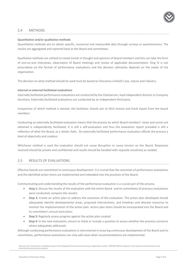

### <span id="page-4-0"></span>2.4 METHODS

#### **Quantitative and/or qualitative methods**

Quantitative methods aim to obtain specific, numerical and measurable data through surveys or questionnaires. The results are aggregated and reported back to the Board and committees.

Qualitative methods are utilised to reveal trends in thought and opinions of Board members and this can take the form of one-on-one interviews, observation of Board meetings and review of applicable documentation. King IV is not prescriptive on the format of performance evaluations and the decision ultimately depends on the needs of the organisation.

The decision on what method should be used must be based on Discovery Limited's size, nature and industry.

#### **Internal vs external facilitated evaluations**

Internally facilitated performance evaluations are conducted by the Chairperson, lead independent director or Company Secretary. Externally facilitated evaluations are conducted by an independent third party.

Irrespective of which method is elected, the facilitator should aim to illicit honest and frank inputs from the board members

Conducting an externally facilitated evaluation means that the process by which Board members' views and scores are obtained is independently facilitated. It is still a self-evaluation and thus the evaluation report provided is still a reflection of what the Board, as a whole, feels. An externally facilitated performance evaluation affords the process a level of objectivity and candour.

Whichever method is used the evaluation should not cause disruption or cause tension on the Board. Responses received should be private and confidential and results should be handled with requisite sensitivity as needed.

#### <span id="page-4-1"></span>2.5 RESULTS OF EVALUATIONS

Effective boards are committed to continuous development. It is crucial that the outcomes of performance evaluations and the identified action items are implemented and imbedded into the practices of the Board.

Communicating and understanding the results of the performance evaluation is a crucial part of the process.

- **Step 1:** Discuss the results of the evaluation with the entire Board and its committees (if previous evaluations were conducted, compare the results)
- **Step 2:** Create an action plan to address the outcomes of the evaluation. The action plan developed should adequately identify developmental areas, proposed interventions, and timelines and allocate resources to monitor the implementation of the action plan. Action plan items should be incorporated into the Board and its committee's annual work plans
- **Step 3:** Regularly assess progress against the action plan created
- **Step 4:** In the next evaluation, ensure to check or include a question to assess whether the previous concerns where adequately addressed.

Although conducting performance evaluations is instrumental in ensuring continuous development of the Board and its committees, performance evaluations can only add value when recommendations are implemented.

Discovery Ltd is the licensed controlling company of the designated Discovery Insurance Group. Registration number: 1999/007789/06. Companies in the Group are licensed insurers and authorised financial services providers.